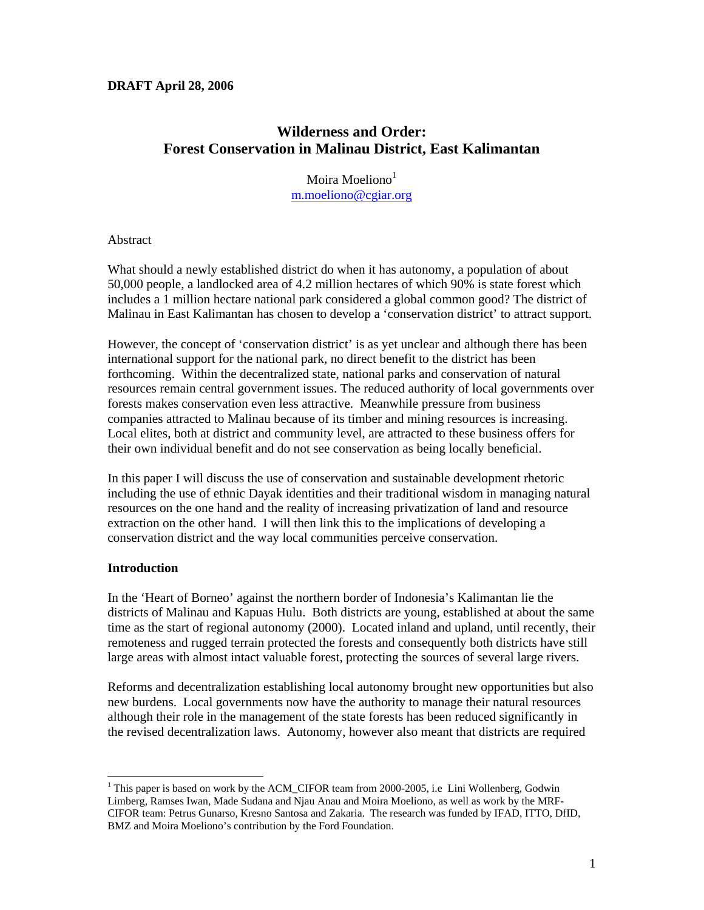# **DRAFT April 28, 2006**

# **Wilderness and Order: Forest Conservation in Malinau District, East Kalimantan**

Moira Moeliono<sup>1</sup> m.moeliono@cgiar.org

## Abstract

What should a newly established district do when it has autonomy, a population of about 50,000 people, a landlocked area of 4.2 million hectares of which 90% is state forest which includes a 1 million hectare national park considered a global common good? The district of Malinau in East Kalimantan has chosen to develop a 'conservation district' to attract support.

However, the concept of 'conservation district' is as yet unclear and although there has been international support for the national park, no direct benefit to the district has been forthcoming. Within the decentralized state, national parks and conservation of natural resources remain central government issues. The reduced authority of local governments over forests makes conservation even less attractive. Meanwhile pressure from business companies attracted to Malinau because of its timber and mining resources is increasing. Local elites, both at district and community level, are attracted to these business offers for their own individual benefit and do not see conservation as being locally beneficial.

In this paper I will discuss the use of conservation and sustainable development rhetoric including the use of ethnic Dayak identities and their traditional wisdom in managing natural resources on the one hand and the reality of increasing privatization of land and resource extraction on the other hand. I will then link this to the implications of developing a conservation district and the way local communities perceive conservation.

# **Introduction**

 $\overline{a}$ 

In the 'Heart of Borneo' against the northern border of Indonesia's Kalimantan lie the districts of Malinau and Kapuas Hulu. Both districts are young, established at about the same time as the start of regional autonomy (2000). Located inland and upland, until recently, their remoteness and rugged terrain protected the forests and consequently both districts have still large areas with almost intact valuable forest, protecting the sources of several large rivers.

Reforms and decentralization establishing local autonomy brought new opportunities but also new burdens. Local governments now have the authority to manage their natural resources although their role in the management of the state forests has been reduced significantly in the revised decentralization laws. Autonomy, however also meant that districts are required

<sup>&</sup>lt;sup>1</sup> This paper is based on work by the ACM\_CIFOR team from 2000-2005, i.e Lini Wollenberg, Godwin Limberg, Ramses Iwan, Made Sudana and Njau Anau and Moira Moeliono, as well as work by the MRF-CIFOR team: Petrus Gunarso, Kresno Santosa and Zakaria. The research was funded by IFAD, ITTO, DfID, BMZ and Moira Moeliono's contribution by the Ford Foundation.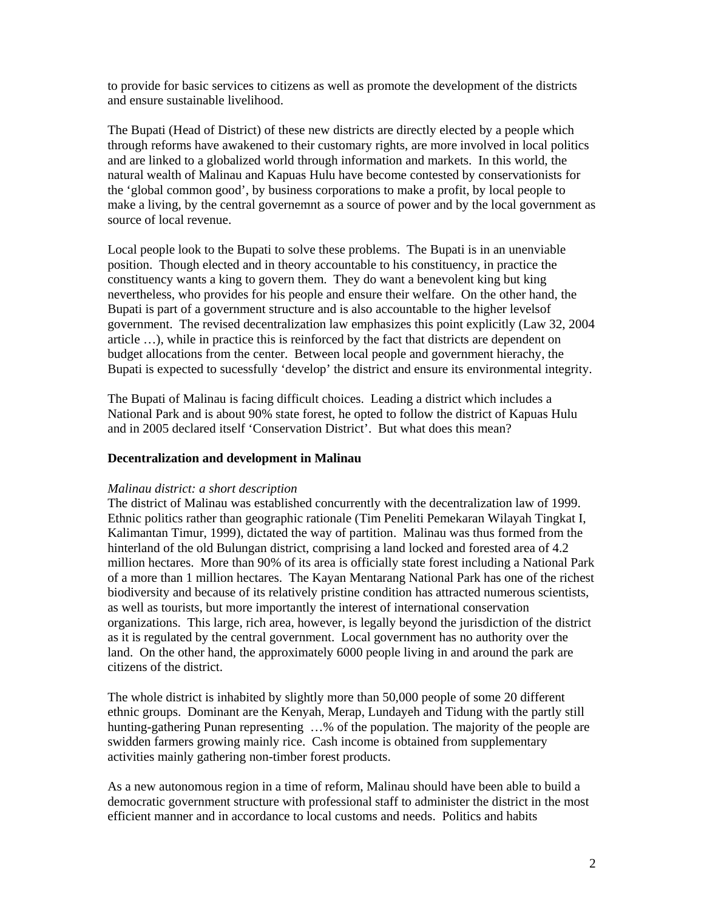to provide for basic services to citizens as well as promote the development of the districts and ensure sustainable livelihood.

The Bupati (Head of District) of these new districts are directly elected by a people which through reforms have awakened to their customary rights, are more involved in local politics and are linked to a globalized world through information and markets. In this world, the natural wealth of Malinau and Kapuas Hulu have become contested by conservationists for the 'global common good', by business corporations to make a profit, by local people to make a living, by the central governemnt as a source of power and by the local government as source of local revenue.

Local people look to the Bupati to solve these problems. The Bupati is in an unenviable position. Though elected and in theory accountable to his constituency, in practice the constituency wants a king to govern them. They do want a benevolent king but king nevertheless, who provides for his people and ensure their welfare. On the other hand, the Bupati is part of a government structure and is also accountable to the higher levelsof government. The revised decentralization law emphasizes this point explicitly (Law 32, 2004 article …), while in practice this is reinforced by the fact that districts are dependent on budget allocations from the center. Between local people and government hierachy, the Bupati is expected to sucessfully 'develop' the district and ensure its environmental integrity.

The Bupati of Malinau is facing difficult choices. Leading a district which includes a National Park and is about 90% state forest, he opted to follow the district of Kapuas Hulu and in 2005 declared itself 'Conservation District'. But what does this mean?

## **Decentralization and development in Malinau**

#### *Malinau district: a short description*

The district of Malinau was established concurrently with the decentralization law of 1999. Ethnic politics rather than geographic rationale (Tim Peneliti Pemekaran Wilayah Tingkat I, Kalimantan Timur, 1999), dictated the way of partition. Malinau was thus formed from the hinterland of the old Bulungan district, comprising a land locked and forested area of 4.2 million hectares. More than 90% of its area is officially state forest including a National Park of a more than 1 million hectares. The Kayan Mentarang National Park has one of the richest biodiversity and because of its relatively pristine condition has attracted numerous scientists, as well as tourists, but more importantly the interest of international conservation organizations. This large, rich area, however, is legally beyond the jurisdiction of the district as it is regulated by the central government. Local government has no authority over the land. On the other hand, the approximately 6000 people living in and around the park are citizens of the district.

The whole district is inhabited by slightly more than 50,000 people of some 20 different ethnic groups. Dominant are the Kenyah, Merap, Lundayeh and Tidung with the partly still hunting-gathering Punan representing ...% of the population. The majority of the people are swidden farmers growing mainly rice. Cash income is obtained from supplementary activities mainly gathering non-timber forest products.

As a new autonomous region in a time of reform, Malinau should have been able to build a democratic government structure with professional staff to administer the district in the most efficient manner and in accordance to local customs and needs. Politics and habits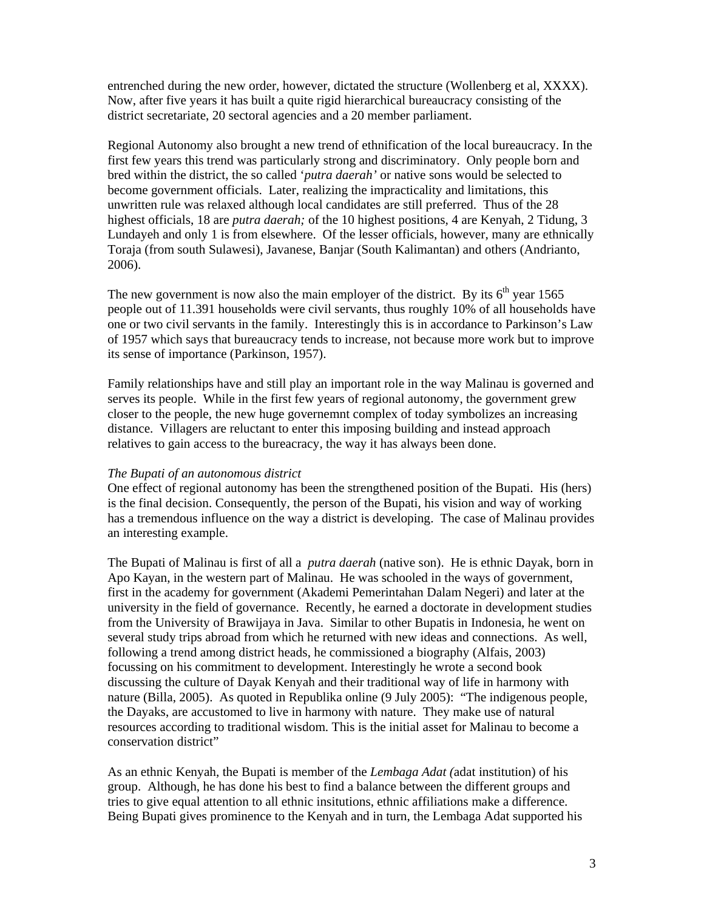entrenched during the new order, however, dictated the structure (Wollenberg et al, XXXX). Now, after five years it has built a quite rigid hierarchical bureaucracy consisting of the district secretariate, 20 sectoral agencies and a 20 member parliament.

Regional Autonomy also brought a new trend of ethnification of the local bureaucracy. In the first few years this trend was particularly strong and discriminatory. Only people born and bred within the district, the so called '*putra daerah'* or native sons would be selected to become government officials. Later, realizing the impracticality and limitations, this unwritten rule was relaxed although local candidates are still preferred. Thus of the 28 highest officials, 18 are *putra daerah*; of the 10 highest positions, 4 are Kenyah, 2 Tidung, 3 Lundayeh and only 1 is from elsewhere. Of the lesser officials, however, many are ethnically Toraja (from south Sulawesi), Javanese, Banjar (South Kalimantan) and others (Andrianto, 2006).

The new government is now also the main employer of the district. By its  $6<sup>th</sup>$  year 1565 people out of 11.391 households were civil servants, thus roughly 10% of all households have one or two civil servants in the family. Interestingly this is in accordance to Parkinson's Law of 1957 which says that bureaucracy tends to increase, not because more work but to improve its sense of importance (Parkinson, 1957).

Family relationships have and still play an important role in the way Malinau is governed and serves its people. While in the first few years of regional autonomy, the government grew closer to the people, the new huge governemnt complex of today symbolizes an increasing distance. Villagers are reluctant to enter this imposing building and instead approach relatives to gain access to the bureacracy, the way it has always been done.

#### *The Bupati of an autonomous district*

One effect of regional autonomy has been the strengthened position of the Bupati. His (hers) is the final decision. Consequently, the person of the Bupati, his vision and way of working has a tremendous influence on the way a district is developing. The case of Malinau provides an interesting example.

The Bupati of Malinau is first of all a *putra daerah* (native son). He is ethnic Dayak, born in Apo Kayan, in the western part of Malinau. He was schooled in the ways of government, first in the academy for government (Akademi Pemerintahan Dalam Negeri) and later at the university in the field of governance. Recently, he earned a doctorate in development studies from the University of Brawijaya in Java. Similar to other Bupatis in Indonesia, he went on several study trips abroad from which he returned with new ideas and connections. As well, following a trend among district heads, he commissioned a biography (Alfais, 2003) focussing on his commitment to development. Interestingly he wrote a second book discussing the culture of Dayak Kenyah and their traditional way of life in harmony with nature (Billa, 2005). As quoted in Republika online (9 July 2005): "The indigenous people, the Dayaks, are accustomed to live in harmony with nature. They make use of natural resources according to traditional wisdom. This is the initial asset for Malinau to become a conservation district"

As an ethnic Kenyah, the Bupati is member of the *Lembaga Adat (*adat institution) of his group. Although, he has done his best to find a balance between the different groups and tries to give equal attention to all ethnic insitutions, ethnic affiliations make a difference. Being Bupati gives prominence to the Kenyah and in turn, the Lembaga Adat supported his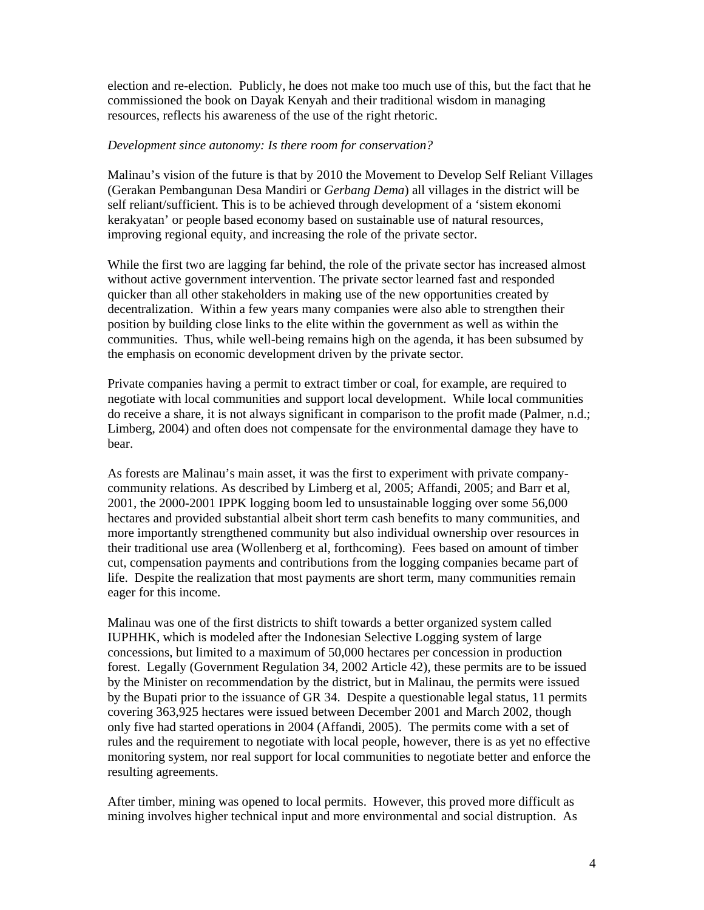election and re-election. Publicly, he does not make too much use of this, but the fact that he commissioned the book on Dayak Kenyah and their traditional wisdom in managing resources, reflects his awareness of the use of the right rhetoric.

# *Development since autonomy: Is there room for conservation?*

Malinau's vision of the future is that by 2010 the Movement to Develop Self Reliant Villages (Gerakan Pembangunan Desa Mandiri or *Gerbang Dema*) all villages in the district will be self reliant/sufficient. This is to be achieved through development of a 'sistem ekonomi kerakyatan' or people based economy based on sustainable use of natural resources, improving regional equity, and increasing the role of the private sector.

While the first two are lagging far behind, the role of the private sector has increased almost without active government intervention. The private sector learned fast and responded quicker than all other stakeholders in making use of the new opportunities created by decentralization. Within a few years many companies were also able to strengthen their position by building close links to the elite within the government as well as within the communities. Thus, while well-being remains high on the agenda, it has been subsumed by the emphasis on economic development driven by the private sector.

Private companies having a permit to extract timber or coal, for example, are required to negotiate with local communities and support local development. While local communities do receive a share, it is not always significant in comparison to the profit made (Palmer, n.d.; Limberg, 2004) and often does not compensate for the environmental damage they have to bear.

As forests are Malinau's main asset, it was the first to experiment with private companycommunity relations. As described by Limberg et al, 2005; Affandi, 2005; and Barr et al, 2001, the 2000-2001 IPPK logging boom led to unsustainable logging over some 56,000 hectares and provided substantial albeit short term cash benefits to many communities, and more importantly strengthened community but also individual ownership over resources in their traditional use area (Wollenberg et al, forthcoming). Fees based on amount of timber cut, compensation payments and contributions from the logging companies became part of life. Despite the realization that most payments are short term, many communities remain eager for this income.

Malinau was one of the first districts to shift towards a better organized system called IUPHHK, which is modeled after the Indonesian Selective Logging system of large concessions, but limited to a maximum of 50,000 hectares per concession in production forest. Legally (Government Regulation 34, 2002 Article 42), these permits are to be issued by the Minister on recommendation by the district, but in Malinau, the permits were issued by the Bupati prior to the issuance of GR 34. Despite a questionable legal status, 11 permits covering 363,925 hectares were issued between December 2001 and March 2002, though only five had started operations in 2004 (Affandi, 2005). The permits come with a set of rules and the requirement to negotiate with local people, however, there is as yet no effective monitoring system, nor real support for local communities to negotiate better and enforce the resulting agreements.

After timber, mining was opened to local permits. However, this proved more difficult as mining involves higher technical input and more environmental and social distruption. As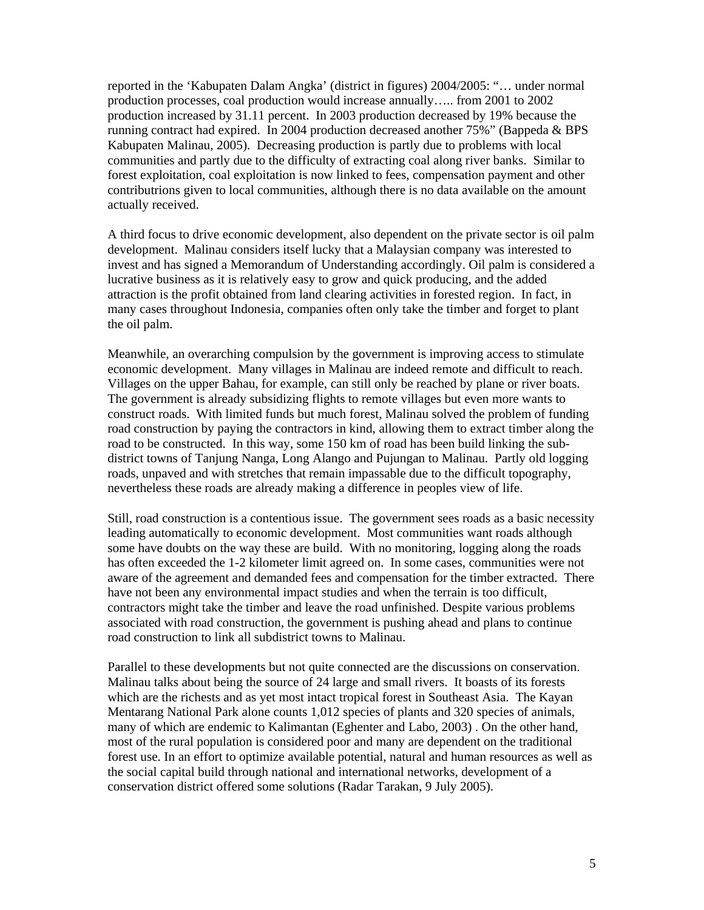reported in the 'Kabupaten Dalam Angka' (district in figures) 2004/2005: "… under normal production processes, coal production would increase annually….. from 2001 to 2002 production increased by 31.11 percent. In 2003 production decreased by 19% because the running contract had expired. In 2004 production decreased another 75%" (Bappeda & BPS Kabupaten Malinau, 2005). Decreasing production is partly due to problems with local communities and partly due to the difficulty of extracting coal along river banks. Similar to forest exploitation, coal exploitation is now linked to fees, compensation payment and other contributrions given to local communities, although there is no data available on the amount actually received.

A third focus to drive economic development, also dependent on the private sector is oil palm development. Malinau considers itself lucky that a Malaysian company was interested to invest and has signed a Memorandum of Understanding accordingly. Oil palm is considered a lucrative business as it is relatively easy to grow and quick producing, and the added attraction is the profit obtained from land clearing activities in forested region. In fact, in many cases throughout Indonesia, companies often only take the timber and forget to plant the oil palm.

Meanwhile, an overarching compulsion by the government is improving access to stimulate economic development. Many villages in Malinau are indeed remote and difficult to reach. Villages on the upper Bahau, for example, can still only be reached by plane or river boats. The government is already subsidizing flights to remote villages but even more wants to construct roads. With limited funds but much forest, Malinau solved the problem of funding road construction by paying the contractors in kind, allowing them to extract timber along the road to be constructed. In this way, some 150 km of road has been build linking the subdistrict towns of Tanjung Nanga, Long Alango and Pujungan to Malinau. Partly old logging roads, unpaved and with stretches that remain impassable due to the difficult topography, nevertheless these roads are already making a difference in peoples view of life.

Still, road construction is a contentious issue. The government sees roads as a basic necessity leading automatically to economic development. Most communities want roads although some have doubts on the way these are build. With no monitoring, logging along the roads has often exceeded the 1-2 kilometer limit agreed on. In some cases, communities were not aware of the agreement and demanded fees and compensation for the timber extracted. There have not been any environmental impact studies and when the terrain is too difficult, contractors might take the timber and leave the road unfinished. Despite various problems associated with road construction, the government is pushing ahead and plans to continue road construction to link all subdistrict towns to Malinau.

Parallel to these developments but not quite connected are the discussions on conservation. Malinau talks about being the source of 24 large and small rivers. It boasts of its forests which are the richests and as yet most intact tropical forest in Southeast Asia. The Kayan Mentarang National Park alone counts 1,012 species of plants and 320 species of animals, many of which are endemic to Kalimantan (Eghenter and Labo, 2003) . On the other hand, most of the rural population is considered poor and many are dependent on the traditional forest use. In an effort to optimize available potential, natural and human resources as well as the social capital build through national and international networks, development of a conservation district offered some solutions (Radar Tarakan, 9 July 2005).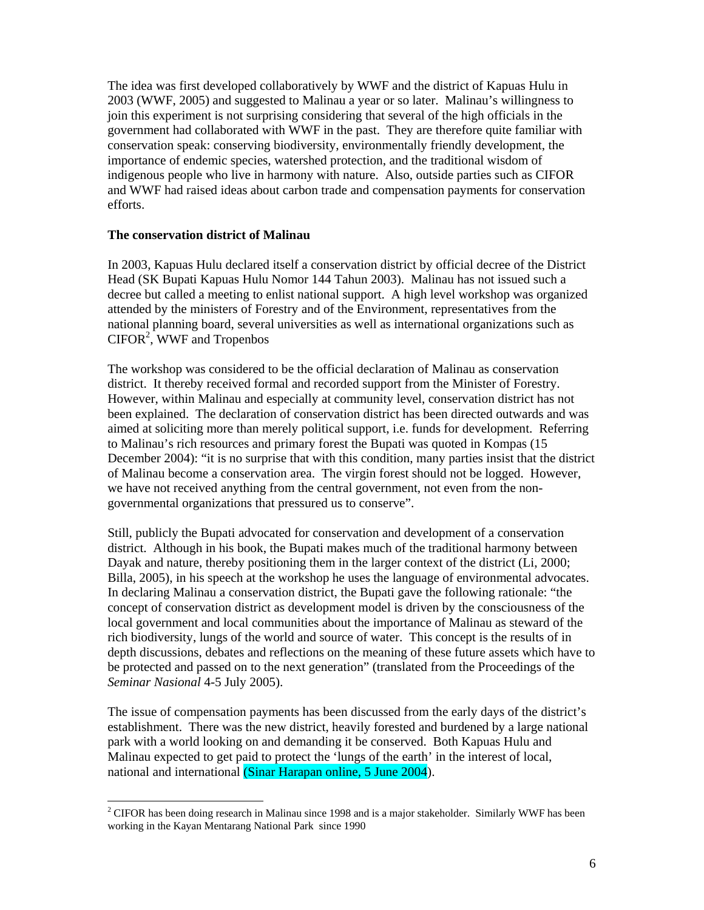The idea was first developed collaboratively by WWF and the district of Kapuas Hulu in 2003 (WWF, 2005) and suggested to Malinau a year or so later. Malinau's willingness to join this experiment is not surprising considering that several of the high officials in the government had collaborated with WWF in the past. They are therefore quite familiar with conservation speak: conserving biodiversity, environmentally friendly development, the importance of endemic species, watershed protection, and the traditional wisdom of indigenous people who live in harmony with nature. Also, outside parties such as CIFOR and WWF had raised ideas about carbon trade and compensation payments for conservation efforts.

## **The conservation district of Malinau**

In 2003, Kapuas Hulu declared itself a conservation district by official decree of the District Head (SK Bupati Kapuas Hulu Nomor 144 Tahun 2003). Malinau has not issued such a decree but called a meeting to enlist national support. A high level workshop was organized attended by the ministers of Forestry and of the Environment, representatives from the national planning board, several universities as well as international organizations such as  $CIFOR<sup>2</sup>$ , WWF and Tropenbos

The workshop was considered to be the official declaration of Malinau as conservation district. It thereby received formal and recorded support from the Minister of Forestry. However, within Malinau and especially at community level, conservation district has not been explained. The declaration of conservation district has been directed outwards and was aimed at soliciting more than merely political support, i.e. funds for development. Referring to Malinau's rich resources and primary forest the Bupati was quoted in Kompas (15 December 2004): "it is no surprise that with this condition, many parties insist that the district of Malinau become a conservation area. The virgin forest should not be logged. However, we have not received anything from the central government, not even from the nongovernmental organizations that pressured us to conserve".

Still, publicly the Bupati advocated for conservation and development of a conservation district. Although in his book, the Bupati makes much of the traditional harmony between Dayak and nature, thereby positioning them in the larger context of the district (Li, 2000; Billa, 2005), in his speech at the workshop he uses the language of environmental advocates. In declaring Malinau a conservation district, the Bupati gave the following rationale: "the concept of conservation district as development model is driven by the consciousness of the local government and local communities about the importance of Malinau as steward of the rich biodiversity, lungs of the world and source of water. This concept is the results of in depth discussions, debates and reflections on the meaning of these future assets which have to be protected and passed on to the next generation" (translated from the Proceedings of the *Seminar Nasional* 4-5 July 2005).

The issue of compensation payments has been discussed from the early days of the district's establishment. There was the new district, heavily forested and burdened by a large national park with a world looking on and demanding it be conserved. Both Kapuas Hulu and Malinau expected to get paid to protect the 'lungs of the earth' in the interest of local, national and international (Sinar Harapan online, 5 June 2004).

 $\overline{a}$  $2^2$  CIFOR has been doing research in Malinau since 1998 and is a major stakeholder. Similarly WWF has been working in the Kayan Mentarang National Park since 1990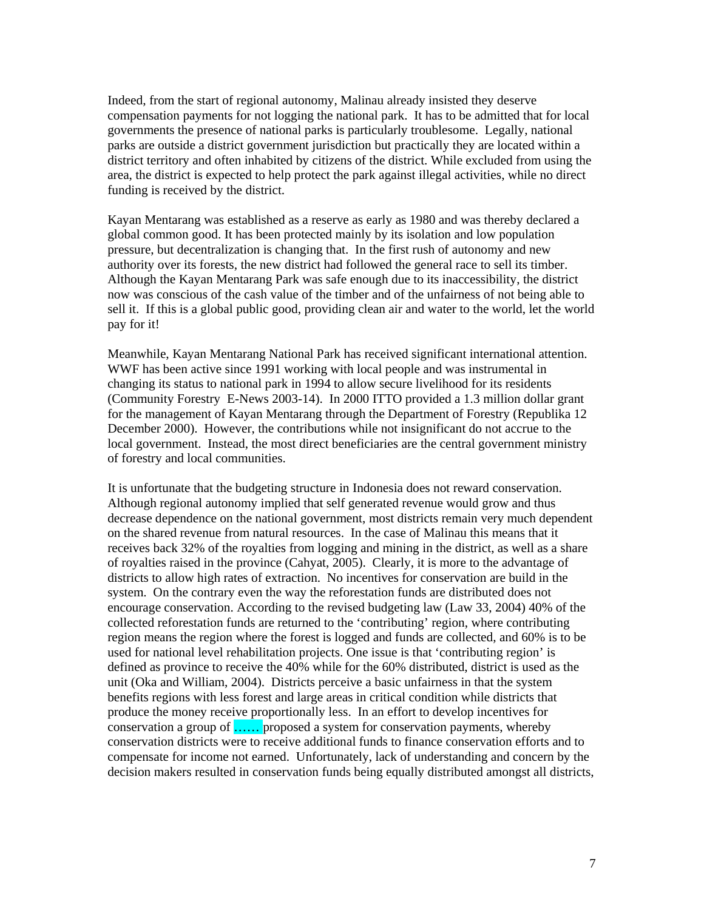Indeed, from the start of regional autonomy, Malinau already insisted they deserve compensation payments for not logging the national park. It has to be admitted that for local governments the presence of national parks is particularly troublesome. Legally, national parks are outside a district government jurisdiction but practically they are located within a district territory and often inhabited by citizens of the district. While excluded from using the area, the district is expected to help protect the park against illegal activities, while no direct funding is received by the district.

Kayan Mentarang was established as a reserve as early as 1980 and was thereby declared a global common good. It has been protected mainly by its isolation and low population pressure, but decentralization is changing that. In the first rush of autonomy and new authority over its forests, the new district had followed the general race to sell its timber. Although the Kayan Mentarang Park was safe enough due to its inaccessibility, the district now was conscious of the cash value of the timber and of the unfairness of not being able to sell it. If this is a global public good, providing clean air and water to the world, let the world pay for it!

Meanwhile, Kayan Mentarang National Park has received significant international attention. WWF has been active since 1991 working with local people and was instrumental in changing its status to national park in 1994 to allow secure livelihood for its residents (Community Forestry E-News 2003-14). In 2000 ITTO provided a 1.3 million dollar grant for the management of Kayan Mentarang through the Department of Forestry (Republika 12 December 2000). However, the contributions while not insignificant do not accrue to the local government. Instead, the most direct beneficiaries are the central government ministry of forestry and local communities.

It is unfortunate that the budgeting structure in Indonesia does not reward conservation. Although regional autonomy implied that self generated revenue would grow and thus decrease dependence on the national government, most districts remain very much dependent on the shared revenue from natural resources. In the case of Malinau this means that it receives back 32% of the royalties from logging and mining in the district, as well as a share of royalties raised in the province (Cahyat, 2005). Clearly, it is more to the advantage of districts to allow high rates of extraction. No incentives for conservation are build in the system. On the contrary even the way the reforestation funds are distributed does not encourage conservation. According to the revised budgeting law (Law 33, 2004) 40% of the collected reforestation funds are returned to the 'contributing' region, where contributing region means the region where the forest is logged and funds are collected, and 60% is to be used for national level rehabilitation projects. One issue is that 'contributing region' is defined as province to receive the 40% while for the 60% distributed, district is used as the unit (Oka and William, 2004). Districts perceive a basic unfairness in that the system benefits regions with less forest and large areas in critical condition while districts that produce the money receive proportionally less. In an effort to develop incentives for conservation a group of …… proposed a system for conservation payments, whereby conservation districts were to receive additional funds to finance conservation efforts and to compensate for income not earned. Unfortunately, lack of understanding and concern by the decision makers resulted in conservation funds being equally distributed amongst all districts,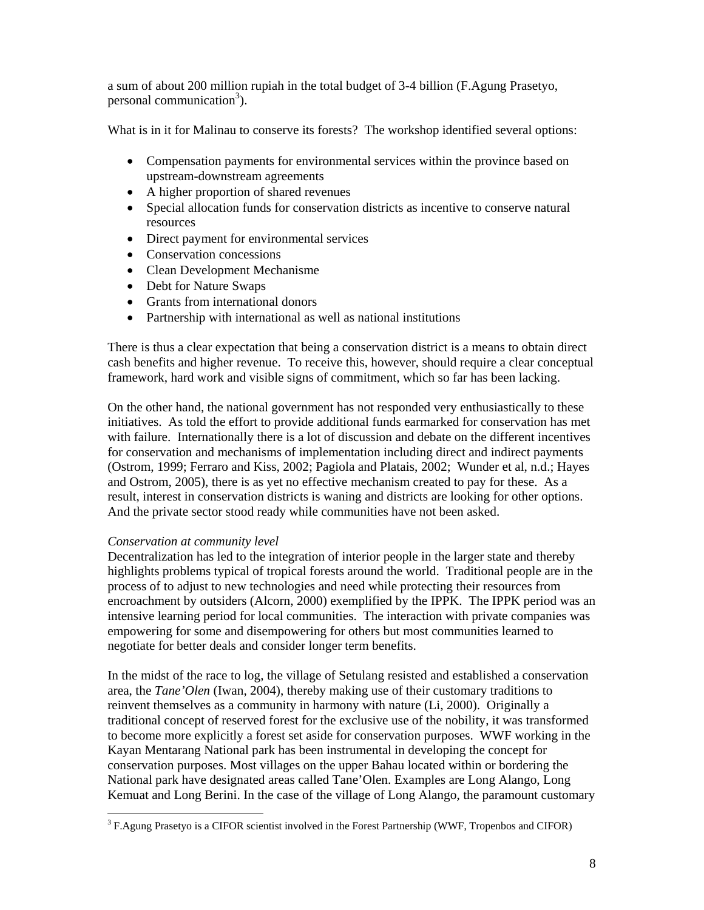a sum of about 200 million rupiah in the total budget of 3-4 billion (F.Agung Prasetyo, personal communication<sup>3</sup>).

What is in it for Malinau to conserve its forests? The workshop identified several options:

- Compensation payments for environmental services within the province based on upstream-downstream agreements
- A higher proportion of shared revenues
- Special allocation funds for conservation districts as incentive to conserve natural resources
- Direct payment for environmental services
- Conservation concessions
- Clean Development Mechanisme
- Debt for Nature Swaps
- Grants from international donors
- Partnership with international as well as national institutions

There is thus a clear expectation that being a conservation district is a means to obtain direct cash benefits and higher revenue. To receive this, however, should require a clear conceptual framework, hard work and visible signs of commitment, which so far has been lacking.

On the other hand, the national government has not responded very enthusiastically to these initiatives. As told the effort to provide additional funds earmarked for conservation has met with failure. Internationally there is a lot of discussion and debate on the different incentives for conservation and mechanisms of implementation including direct and indirect payments (Ostrom, 1999; Ferraro and Kiss, 2002; Pagiola and Platais, 2002; Wunder et al, n.d.; Hayes and Ostrom, 2005), there is as yet no effective mechanism created to pay for these. As a result, interest in conservation districts is waning and districts are looking for other options. And the private sector stood ready while communities have not been asked.

## *Conservation at community level*

Decentralization has led to the integration of interior people in the larger state and thereby highlights problems typical of tropical forests around the world. Traditional people are in the process of to adjust to new technologies and need while protecting their resources from encroachment by outsiders (Alcorn, 2000) exemplified by the IPPK. The IPPK period was an intensive learning period for local communities. The interaction with private companies was empowering for some and disempowering for others but most communities learned to negotiate for better deals and consider longer term benefits.

In the midst of the race to log, the village of Setulang resisted and established a conservation area, the *Tane'Olen* (Iwan, 2004), thereby making use of their customary traditions to reinvent themselves as a community in harmony with nature (Li, 2000). Originally a traditional concept of reserved forest for the exclusive use of the nobility, it was transformed to become more explicitly a forest set aside for conservation purposes. WWF working in the Kayan Mentarang National park has been instrumental in developing the concept for conservation purposes. Most villages on the upper Bahau located within or bordering the National park have designated areas called Tane'Olen. Examples are Long Alango, Long Kemuat and Long Berini. In the case of the village of Long Alango, the paramount customary

<sup>&</sup>lt;sup>3</sup> F.Agung Prasetyo is a CIFOR scientist involved in the Forest Partnership (WWF, Tropenbos and CIFOR)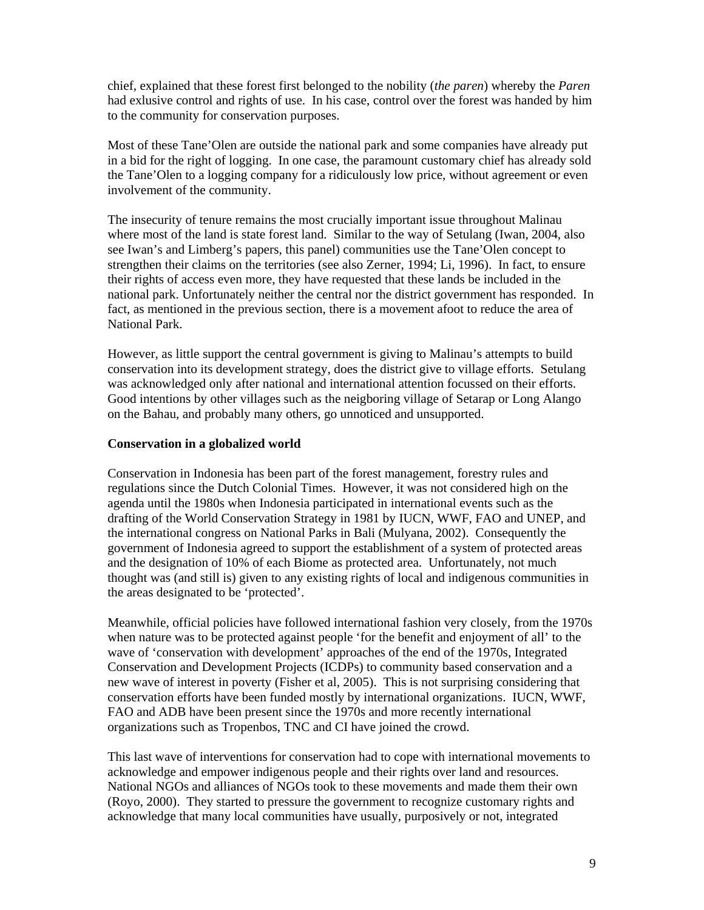chief, explained that these forest first belonged to the nobility (*the paren*) whereby the *Paren* had exlusive control and rights of use. In his case, control over the forest was handed by him to the community for conservation purposes.

Most of these Tane'Olen are outside the national park and some companies have already put in a bid for the right of logging. In one case, the paramount customary chief has already sold the Tane'Olen to a logging company for a ridiculously low price, without agreement or even involvement of the community.

The insecurity of tenure remains the most crucially important issue throughout Malinau where most of the land is state forest land. Similar to the way of Setulang (Iwan, 2004, also see Iwan's and Limberg's papers, this panel) communities use the Tane'Olen concept to strengthen their claims on the territories (see also Zerner, 1994; Li, 1996). In fact, to ensure their rights of access even more, they have requested that these lands be included in the national park. Unfortunately neither the central nor the district government has responded. In fact, as mentioned in the previous section, there is a movement afoot to reduce the area of National Park.

However, as little support the central government is giving to Malinau's attempts to build conservation into its development strategy, does the district give to village efforts. Setulang was acknowledged only after national and international attention focussed on their efforts. Good intentions by other villages such as the neigboring village of Setarap or Long Alango on the Bahau, and probably many others, go unnoticed and unsupported.

#### **Conservation in a globalized world**

Conservation in Indonesia has been part of the forest management, forestry rules and regulations since the Dutch Colonial Times. However, it was not considered high on the agenda until the 1980s when Indonesia participated in international events such as the drafting of the World Conservation Strategy in 1981 by IUCN, WWF, FAO and UNEP, and the international congress on National Parks in Bali (Mulyana, 2002). Consequently the government of Indonesia agreed to support the establishment of a system of protected areas and the designation of 10% of each Biome as protected area. Unfortunately, not much thought was (and still is) given to any existing rights of local and indigenous communities in the areas designated to be 'protected'.

Meanwhile, official policies have followed international fashion very closely, from the 1970s when nature was to be protected against people 'for the benefit and enjoyment of all' to the wave of 'conservation with development' approaches of the end of the 1970s, Integrated Conservation and Development Projects (ICDPs) to community based conservation and a new wave of interest in poverty (Fisher et al, 2005). This is not surprising considering that conservation efforts have been funded mostly by international organizations. IUCN, WWF, FAO and ADB have been present since the 1970s and more recently international organizations such as Tropenbos, TNC and CI have joined the crowd.

This last wave of interventions for conservation had to cope with international movements to acknowledge and empower indigenous people and their rights over land and resources. National NGOs and alliances of NGOs took to these movements and made them their own (Royo, 2000). They started to pressure the government to recognize customary rights and acknowledge that many local communities have usually, purposively or not, integrated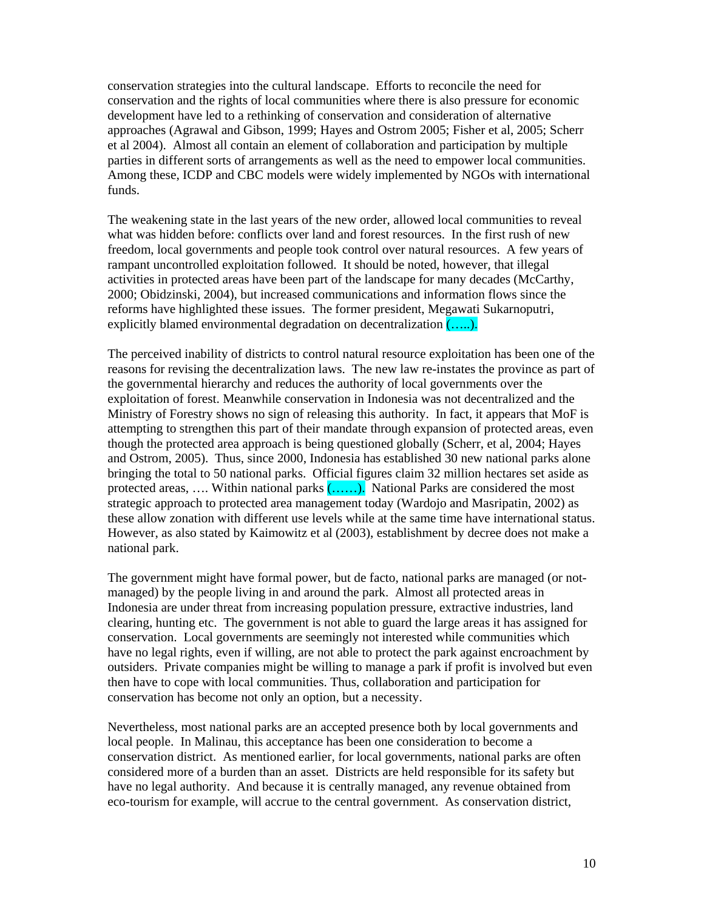conservation strategies into the cultural landscape. Efforts to reconcile the need for conservation and the rights of local communities where there is also pressure for economic development have led to a rethinking of conservation and consideration of alternative approaches (Agrawal and Gibson, 1999; Hayes and Ostrom 2005; Fisher et al, 2005; Scherr et al 2004). Almost all contain an element of collaboration and participation by multiple parties in different sorts of arrangements as well as the need to empower local communities. Among these, ICDP and CBC models were widely implemented by NGOs with international funds.

The weakening state in the last years of the new order, allowed local communities to reveal what was hidden before: conflicts over land and forest resources. In the first rush of new freedom, local governments and people took control over natural resources. A few years of rampant uncontrolled exploitation followed. It should be noted, however, that illegal activities in protected areas have been part of the landscape for many decades (McCarthy, 2000; Obidzinski, 2004), but increased communications and information flows since the reforms have highlighted these issues. The former president, Megawati Sukarnoputri, explicitly blamed environmental degradation on decentralization  $(\ldots)$ .

The perceived inability of districts to control natural resource exploitation has been one of the reasons for revising the decentralization laws. The new law re-instates the province as part of the governmental hierarchy and reduces the authority of local governments over the exploitation of forest. Meanwhile conservation in Indonesia was not decentralized and the Ministry of Forestry shows no sign of releasing this authority. In fact, it appears that MoF is attempting to strengthen this part of their mandate through expansion of protected areas, even though the protected area approach is being questioned globally (Scherr, et al, 2004; Hayes and Ostrom, 2005). Thus, since 2000, Indonesia has established 30 new national parks alone bringing the total to 50 national parks. Official figures claim 32 million hectares set aside as protected areas, .... Within national parks  $(\ldots)$ . National Parks are considered the most strategic approach to protected area management today (Wardojo and Masripatin, 2002) as these allow zonation with different use levels while at the same time have international status. However, as also stated by Kaimowitz et al (2003), establishment by decree does not make a national park.

The government might have formal power, but de facto, national parks are managed (or notmanaged) by the people living in and around the park. Almost all protected areas in Indonesia are under threat from increasing population pressure, extractive industries, land clearing, hunting etc. The government is not able to guard the large areas it has assigned for conservation. Local governments are seemingly not interested while communities which have no legal rights, even if willing, are not able to protect the park against encroachment by outsiders. Private companies might be willing to manage a park if profit is involved but even then have to cope with local communities. Thus, collaboration and participation for conservation has become not only an option, but a necessity.

Nevertheless, most national parks are an accepted presence both by local governments and local people. In Malinau, this acceptance has been one consideration to become a conservation district. As mentioned earlier, for local governments, national parks are often considered more of a burden than an asset. Districts are held responsible for its safety but have no legal authority. And because it is centrally managed, any revenue obtained from eco-tourism for example, will accrue to the central government. As conservation district,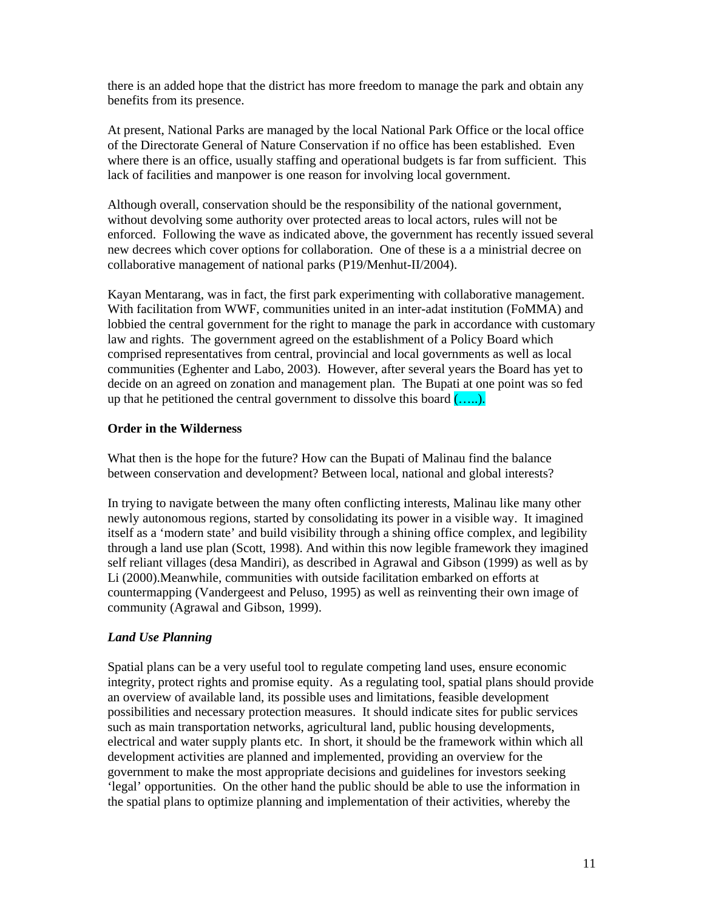there is an added hope that the district has more freedom to manage the park and obtain any benefits from its presence.

At present, National Parks are managed by the local National Park Office or the local office of the Directorate General of Nature Conservation if no office has been established. Even where there is an office, usually staffing and operational budgets is far from sufficient. This lack of facilities and manpower is one reason for involving local government.

Although overall, conservation should be the responsibility of the national government, without devolving some authority over protected areas to local actors, rules will not be enforced. Following the wave as indicated above, the government has recently issued several new decrees which cover options for collaboration. One of these is a a ministrial decree on collaborative management of national parks (P19/Menhut-II/2004).

Kayan Mentarang, was in fact, the first park experimenting with collaborative management. With facilitation from WWF, communities united in an inter-adat institution (FoMMA) and lobbied the central government for the right to manage the park in accordance with customary law and rights. The government agreed on the establishment of a Policy Board which comprised representatives from central, provincial and local governments as well as local communities (Eghenter and Labo, 2003). However, after several years the Board has yet to decide on an agreed on zonation and management plan. The Bupati at one point was so fed up that he petitioned the central government to dissolve this board  $(....).$ 

# **Order in the Wilderness**

What then is the hope for the future? How can the Bupati of Malinau find the balance between conservation and development? Between local, national and global interests?

In trying to navigate between the many often conflicting interests, Malinau like many other newly autonomous regions, started by consolidating its power in a visible way. It imagined itself as a 'modern state' and build visibility through a shining office complex, and legibility through a land use plan (Scott, 1998). And within this now legible framework they imagined self reliant villages (desa Mandiri), as described in Agrawal and Gibson (1999) as well as by Li (2000).Meanwhile, communities with outside facilitation embarked on efforts at countermapping (Vandergeest and Peluso, 1995) as well as reinventing their own image of community (Agrawal and Gibson, 1999).

# *Land Use Planning*

Spatial plans can be a very useful tool to regulate competing land uses, ensure economic integrity, protect rights and promise equity. As a regulating tool, spatial plans should provide an overview of available land, its possible uses and limitations, feasible development possibilities and necessary protection measures. It should indicate sites for public services such as main transportation networks, agricultural land, public housing developments, electrical and water supply plants etc. In short, it should be the framework within which all development activities are planned and implemented, providing an overview for the government to make the most appropriate decisions and guidelines for investors seeking 'legal' opportunities. On the other hand the public should be able to use the information in the spatial plans to optimize planning and implementation of their activities, whereby the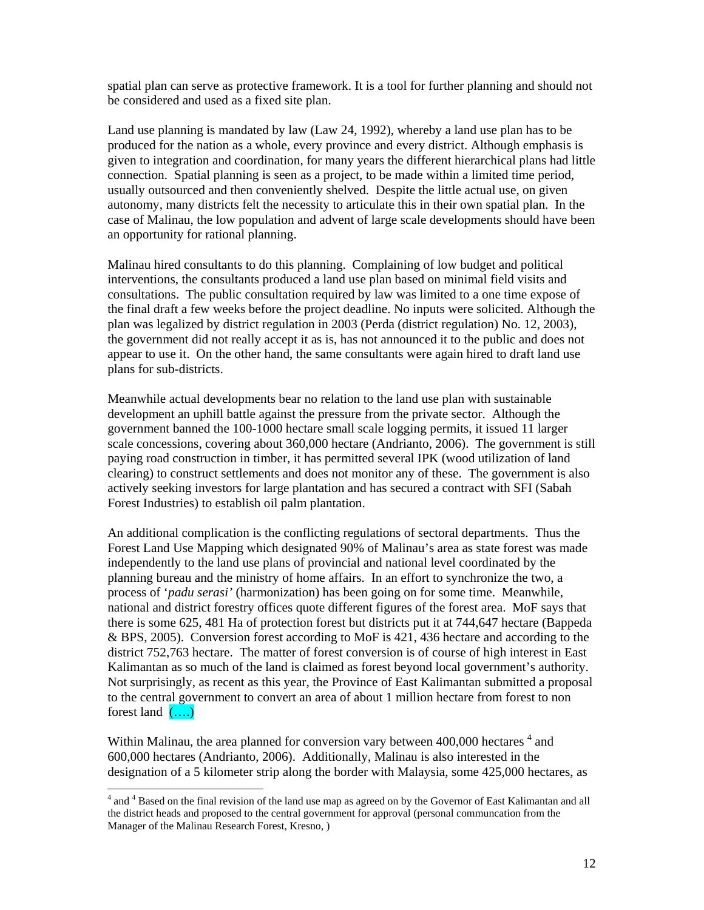spatial plan can serve as protective framework. It is a tool for further planning and should not be considered and used as a fixed site plan.

Land use planning is mandated by law (Law 24, 1992), whereby a land use plan has to be produced for the nation as a whole, every province and every district. Although emphasis is given to integration and coordination, for many years the different hierarchical plans had little connection. Spatial planning is seen as a project, to be made within a limited time period, usually outsourced and then conveniently shelved. Despite the little actual use, on given autonomy, many districts felt the necessity to articulate this in their own spatial plan. In the case of Malinau, the low population and advent of large scale developments should have been an opportunity for rational planning.

Malinau hired consultants to do this planning. Complaining of low budget and political interventions, the consultants produced a land use plan based on minimal field visits and consultations. The public consultation required by law was limited to a one time expose of the final draft a few weeks before the project deadline. No inputs were solicited. Although the plan was legalized by district regulation in 2003 (Perda (district regulation) No. 12, 2003), the government did not really accept it as is, has not announced it to the public and does not appear to use it. On the other hand, the same consultants were again hired to draft land use plans for sub-districts.

Meanwhile actual developments bear no relation to the land use plan with sustainable development an uphill battle against the pressure from the private sector. Although the government banned the 100-1000 hectare small scale logging permits, it issued 11 larger scale concessions, covering about 360,000 hectare (Andrianto, 2006). The government is still paying road construction in timber, it has permitted several IPK (wood utilization of land clearing) to construct settlements and does not monitor any of these. The government is also actively seeking investors for large plantation and has secured a contract with SFI (Sabah Forest Industries) to establish oil palm plantation.

An additional complication is the conflicting regulations of sectoral departments. Thus the Forest Land Use Mapping which designated 90% of Malinau's area as state forest was made independently to the land use plans of provincial and national level coordinated by the planning bureau and the ministry of home affairs. In an effort to synchronize the two, a process of '*padu serasi'* (harmonization) has been going on for some time. Meanwhile, national and district forestry offices quote different figures of the forest area. MoF says that there is some 625, 481 Ha of protection forest but districts put it at 744,647 hectare (Bappeda & BPS, 2005). Conversion forest according to MoF is 421, 436 hectare and according to the district 752,763 hectare. The matter of forest conversion is of course of high interest in East Kalimantan as so much of the land is claimed as forest beyond local government's authority. Not surprisingly, as recent as this year, the Province of East Kalimantan submitted a proposal to the central government to convert an area of about 1 million hectare from forest to non forest land  $(\ldots)$ 

Within Malinau, the area planned for conversion vary between  $400,000$  hectares  $<sup>4</sup>$  and</sup> 600,000 hectares (Andrianto, 2006). Additionally, Malinau is also interested in the designation of a 5 kilometer strip along the border with Malaysia, some 425,000 hectares, as

 $\overline{a}$ 

<sup>&</sup>lt;sup>4</sup> and <sup>4</sup> Based on the final revision of the land use map as agreed on by the Governor of East Kalimantan and all the district heads and proposed to the central government for approval (personal communcation from the Manager of the Malinau Research Forest, Kresno, )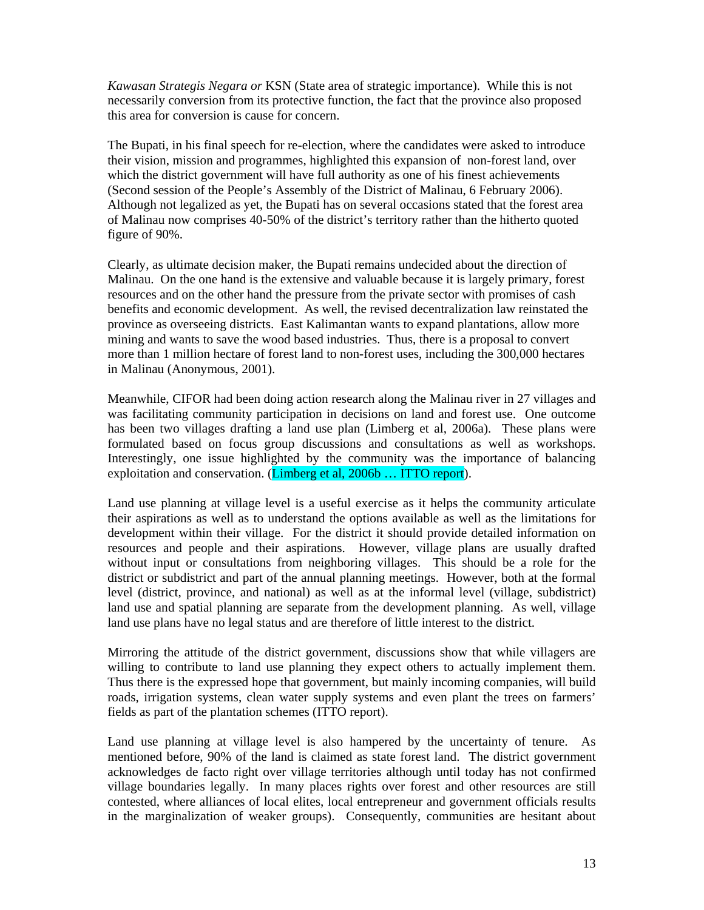*Kawasan Strategis Negara or* KSN (State area of strategic importance). While this is not necessarily conversion from its protective function, the fact that the province also proposed this area for conversion is cause for concern.

The Bupati, in his final speech for re-election, where the candidates were asked to introduce their vision, mission and programmes, highlighted this expansion of non-forest land, over which the district government will have full authority as one of his finest achievements (Second session of the People's Assembly of the District of Malinau, 6 February 2006). Although not legalized as yet, the Bupati has on several occasions stated that the forest area of Malinau now comprises 40-50% of the district's territory rather than the hitherto quoted figure of 90%.

Clearly, as ultimate decision maker, the Bupati remains undecided about the direction of Malinau. On the one hand is the extensive and valuable because it is largely primary, forest resources and on the other hand the pressure from the private sector with promises of cash benefits and economic development. As well, the revised decentralization law reinstated the province as overseeing districts. East Kalimantan wants to expand plantations, allow more mining and wants to save the wood based industries. Thus, there is a proposal to convert more than 1 million hectare of forest land to non-forest uses, including the 300,000 hectares in Malinau (Anonymous, 2001).

Meanwhile, CIFOR had been doing action research along the Malinau river in 27 villages and was facilitating community participation in decisions on land and forest use. One outcome has been two villages drafting a land use plan (Limberg et al, 2006a). These plans were formulated based on focus group discussions and consultations as well as workshops. Interestingly, one issue highlighted by the community was the importance of balancing exploitation and conservation. (Limberg et al, 2006b ... ITTO report).

Land use planning at village level is a useful exercise as it helps the community articulate their aspirations as well as to understand the options available as well as the limitations for development within their village. For the district it should provide detailed information on resources and people and their aspirations. However, village plans are usually drafted without input or consultations from neighboring villages. This should be a role for the district or subdistrict and part of the annual planning meetings. However, both at the formal level (district, province, and national) as well as at the informal level (village, subdistrict) land use and spatial planning are separate from the development planning. As well, village land use plans have no legal status and are therefore of little interest to the district.

Mirroring the attitude of the district government, discussions show that while villagers are willing to contribute to land use planning they expect others to actually implement them. Thus there is the expressed hope that government, but mainly incoming companies, will build roads, irrigation systems, clean water supply systems and even plant the trees on farmers' fields as part of the plantation schemes (ITTO report).

Land use planning at village level is also hampered by the uncertainty of tenure. As mentioned before, 90% of the land is claimed as state forest land. The district government acknowledges de facto right over village territories although until today has not confirmed village boundaries legally. In many places rights over forest and other resources are still contested, where alliances of local elites, local entrepreneur and government officials results in the marginalization of weaker groups). Consequently, communities are hesitant about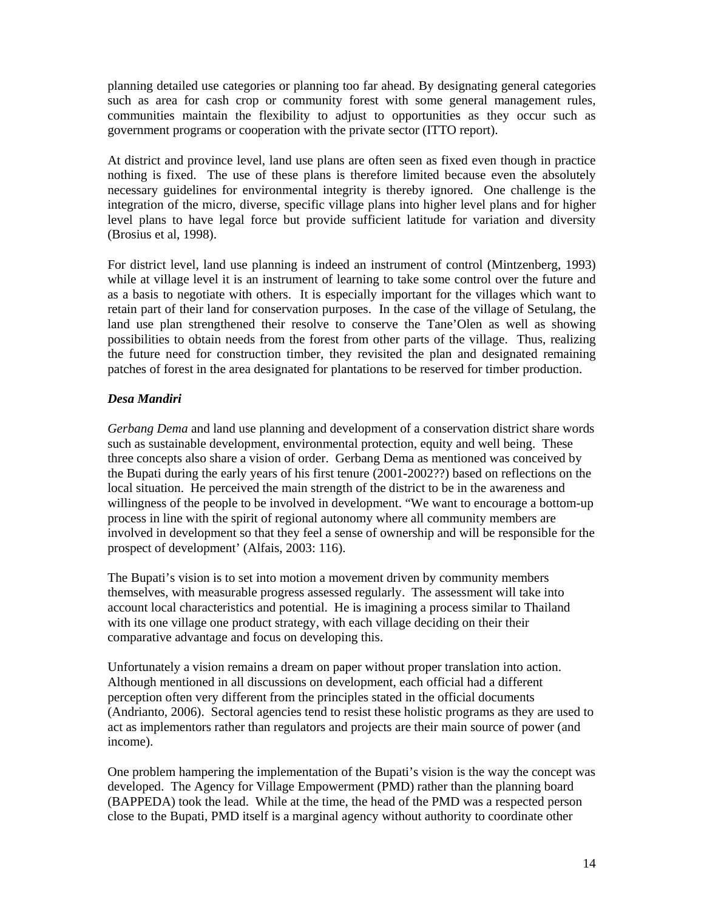planning detailed use categories or planning too far ahead. By designating general categories such as area for cash crop or community forest with some general management rules, communities maintain the flexibility to adjust to opportunities as they occur such as government programs or cooperation with the private sector (ITTO report).

At district and province level, land use plans are often seen as fixed even though in practice nothing is fixed. The use of these plans is therefore limited because even the absolutely necessary guidelines for environmental integrity is thereby ignored. One challenge is the integration of the micro, diverse, specific village plans into higher level plans and for higher level plans to have legal force but provide sufficient latitude for variation and diversity (Brosius et al, 1998).

For district level, land use planning is indeed an instrument of control (Mintzenberg, 1993) while at village level it is an instrument of learning to take some control over the future and as a basis to negotiate with others. It is especially important for the villages which want to retain part of their land for conservation purposes. In the case of the village of Setulang, the land use plan strengthened their resolve to conserve the Tane'Olen as well as showing possibilities to obtain needs from the forest from other parts of the village. Thus, realizing the future need for construction timber, they revisited the plan and designated remaining patches of forest in the area designated for plantations to be reserved for timber production.

# *Desa Mandiri*

*Gerbang Dema* and land use planning and development of a conservation district share words such as sustainable development, environmental protection, equity and well being. These three concepts also share a vision of order. Gerbang Dema as mentioned was conceived by the Bupati during the early years of his first tenure (2001-2002??) based on reflections on the local situation. He perceived the main strength of the district to be in the awareness and willingness of the people to be involved in development. "We want to encourage a bottom-up process in line with the spirit of regional autonomy where all community members are involved in development so that they feel a sense of ownership and will be responsible for the prospect of development' (Alfais, 2003: 116).

The Bupati's vision is to set into motion a movement driven by community members themselves, with measurable progress assessed regularly. The assessment will take into account local characteristics and potential. He is imagining a process similar to Thailand with its one village one product strategy, with each village deciding on their their comparative advantage and focus on developing this.

Unfortunately a vision remains a dream on paper without proper translation into action. Although mentioned in all discussions on development, each official had a different perception often very different from the principles stated in the official documents (Andrianto, 2006). Sectoral agencies tend to resist these holistic programs as they are used to act as implementors rather than regulators and projects are their main source of power (and income).

One problem hampering the implementation of the Bupati's vision is the way the concept was developed. The Agency for Village Empowerment (PMD) rather than the planning board (BAPPEDA) took the lead. While at the time, the head of the PMD was a respected person close to the Bupati, PMD itself is a marginal agency without authority to coordinate other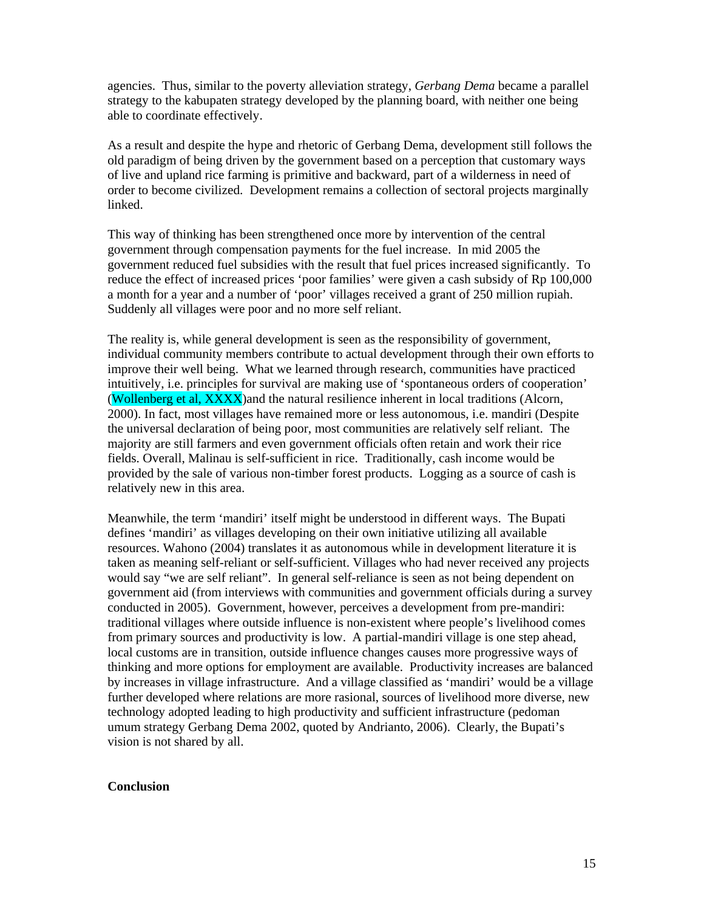agencies. Thus, similar to the poverty alleviation strategy, *Gerbang Dema* became a parallel strategy to the kabupaten strategy developed by the planning board, with neither one being able to coordinate effectively.

As a result and despite the hype and rhetoric of Gerbang Dema, development still follows the old paradigm of being driven by the government based on a perception that customary ways of live and upland rice farming is primitive and backward, part of a wilderness in need of order to become civilized. Development remains a collection of sectoral projects marginally linked.

This way of thinking has been strengthened once more by intervention of the central government through compensation payments for the fuel increase. In mid 2005 the government reduced fuel subsidies with the result that fuel prices increased significantly. To reduce the effect of increased prices 'poor families' were given a cash subsidy of Rp 100,000 a month for a year and a number of 'poor' villages received a grant of 250 million rupiah. Suddenly all villages were poor and no more self reliant.

The reality is, while general development is seen as the responsibility of government, individual community members contribute to actual development through their own efforts to improve their well being. What we learned through research, communities have practiced intuitively, i.e. principles for survival are making use of 'spontaneous orders of cooperation' (Wollenberg et al, XXXX)and the natural resilience inherent in local traditions (Alcorn, 2000). In fact, most villages have remained more or less autonomous, i.e. mandiri (Despite the universal declaration of being poor, most communities are relatively self reliant. The majority are still farmers and even government officials often retain and work their rice fields. Overall, Malinau is self-sufficient in rice. Traditionally, cash income would be provided by the sale of various non-timber forest products. Logging as a source of cash is relatively new in this area.

Meanwhile, the term 'mandiri' itself might be understood in different ways. The Bupati defines 'mandiri' as villages developing on their own initiative utilizing all available resources. Wahono (2004) translates it as autonomous while in development literature it is taken as meaning self-reliant or self-sufficient. Villages who had never received any projects would say "we are self reliant". In general self-reliance is seen as not being dependent on government aid (from interviews with communities and government officials during a survey conducted in 2005). Government, however, perceives a development from pre-mandiri: traditional villages where outside influence is non-existent where people's livelihood comes from primary sources and productivity is low. A partial-mandiri village is one step ahead, local customs are in transition, outside influence changes causes more progressive ways of thinking and more options for employment are available. Productivity increases are balanced by increases in village infrastructure. And a village classified as 'mandiri' would be a village further developed where relations are more rasional, sources of livelihood more diverse, new technology adopted leading to high productivity and sufficient infrastructure (pedoman umum strategy Gerbang Dema 2002, quoted by Andrianto, 2006). Clearly, the Bupati's vision is not shared by all.

#### **Conclusion**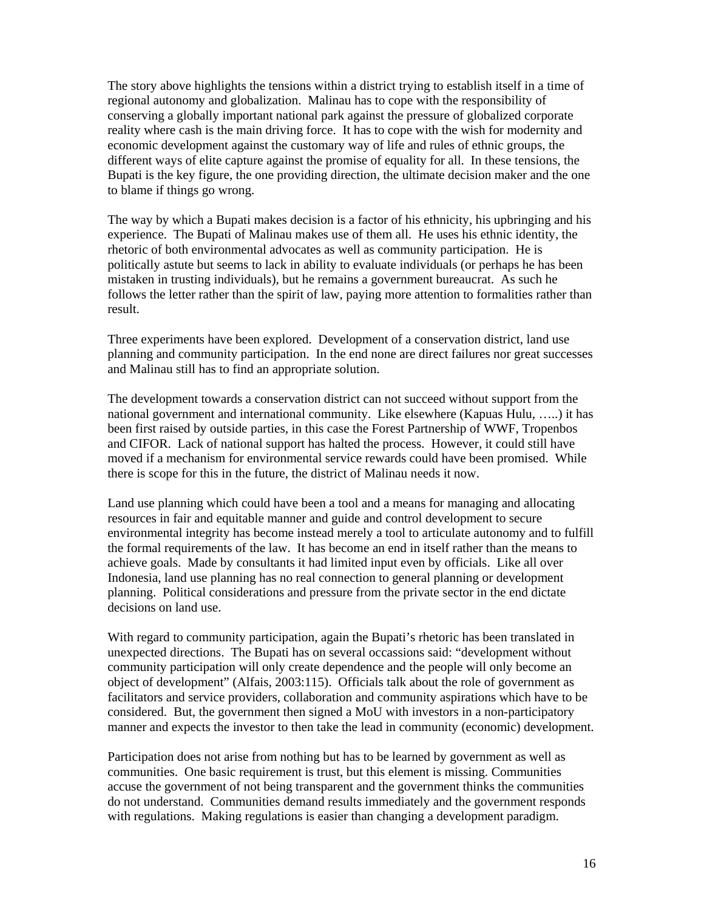The story above highlights the tensions within a district trying to establish itself in a time of regional autonomy and globalization. Malinau has to cope with the responsibility of conserving a globally important national park against the pressure of globalized corporate reality where cash is the main driving force. It has to cope with the wish for modernity and economic development against the customary way of life and rules of ethnic groups, the different ways of elite capture against the promise of equality for all. In these tensions, the Bupati is the key figure, the one providing direction, the ultimate decision maker and the one to blame if things go wrong.

The way by which a Bupati makes decision is a factor of his ethnicity, his upbringing and his experience. The Bupati of Malinau makes use of them all. He uses his ethnic identity, the rhetoric of both environmental advocates as well as community participation. He is politically astute but seems to lack in ability to evaluate individuals (or perhaps he has been mistaken in trusting individuals), but he remains a government bureaucrat. As such he follows the letter rather than the spirit of law, paying more attention to formalities rather than result.

Three experiments have been explored. Development of a conservation district, land use planning and community participation. In the end none are direct failures nor great successes and Malinau still has to find an appropriate solution.

The development towards a conservation district can not succeed without support from the national government and international community. Like elsewhere (Kapuas Hulu, …..) it has been first raised by outside parties, in this case the Forest Partnership of WWF, Tropenbos and CIFOR. Lack of national support has halted the process. However, it could still have moved if a mechanism for environmental service rewards could have been promised. While there is scope for this in the future, the district of Malinau needs it now.

Land use planning which could have been a tool and a means for managing and allocating resources in fair and equitable manner and guide and control development to secure environmental integrity has become instead merely a tool to articulate autonomy and to fulfill the formal requirements of the law. It has become an end in itself rather than the means to achieve goals. Made by consultants it had limited input even by officials. Like all over Indonesia, land use planning has no real connection to general planning or development planning. Political considerations and pressure from the private sector in the end dictate decisions on land use.

With regard to community participation, again the Bupati's rhetoric has been translated in unexpected directions. The Bupati has on several occassions said: "development without community participation will only create dependence and the people will only become an object of development" (Alfais, 2003:115). Officials talk about the role of government as facilitators and service providers, collaboration and community aspirations which have to be considered. But, the government then signed a MoU with investors in a non-participatory manner and expects the investor to then take the lead in community (economic) development.

Participation does not arise from nothing but has to be learned by government as well as communities. One basic requirement is trust, but this element is missing. Communities accuse the government of not being transparent and the government thinks the communities do not understand. Communities demand results immediately and the government responds with regulations. Making regulations is easier than changing a development paradigm.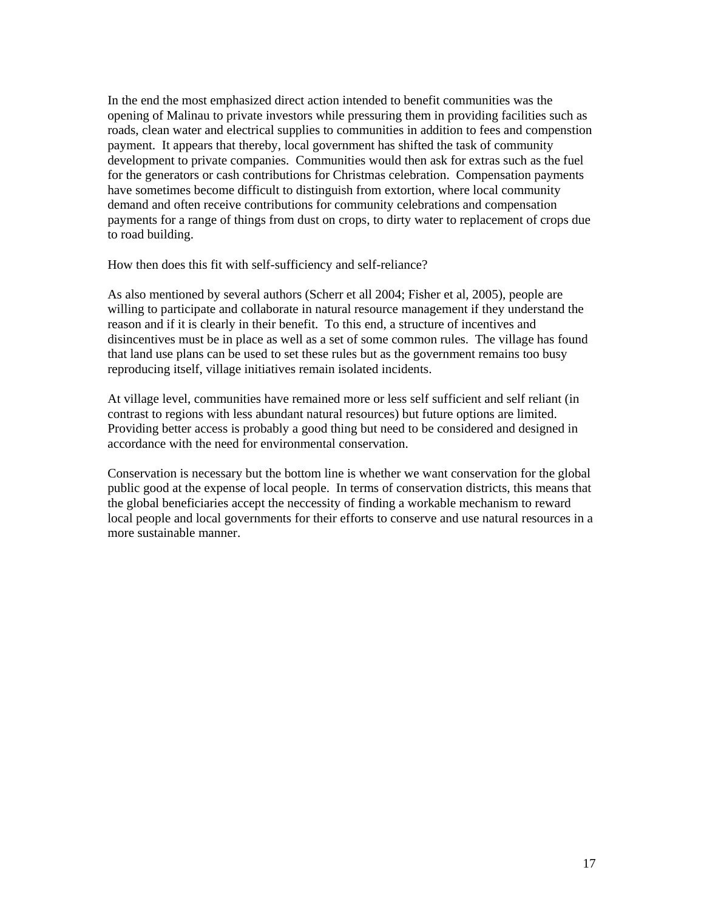In the end the most emphasized direct action intended to benefit communities was the opening of Malinau to private investors while pressuring them in providing facilities such as roads, clean water and electrical supplies to communities in addition to fees and compenstion payment. It appears that thereby, local government has shifted the task of community development to private companies. Communities would then ask for extras such as the fuel for the generators or cash contributions for Christmas celebration. Compensation payments have sometimes become difficult to distinguish from extortion, where local community demand and often receive contributions for community celebrations and compensation payments for a range of things from dust on crops, to dirty water to replacement of crops due to road building.

How then does this fit with self-sufficiency and self-reliance?

As also mentioned by several authors (Scherr et all 2004; Fisher et al, 2005), people are willing to participate and collaborate in natural resource management if they understand the reason and if it is clearly in their benefit. To this end, a structure of incentives and disincentives must be in place as well as a set of some common rules. The village has found that land use plans can be used to set these rules but as the government remains too busy reproducing itself, village initiatives remain isolated incidents.

At village level, communities have remained more or less self sufficient and self reliant (in contrast to regions with less abundant natural resources) but future options are limited. Providing better access is probably a good thing but need to be considered and designed in accordance with the need for environmental conservation.

Conservation is necessary but the bottom line is whether we want conservation for the global public good at the expense of local people. In terms of conservation districts, this means that the global beneficiaries accept the neccessity of finding a workable mechanism to reward local people and local governments for their efforts to conserve and use natural resources in a more sustainable manner.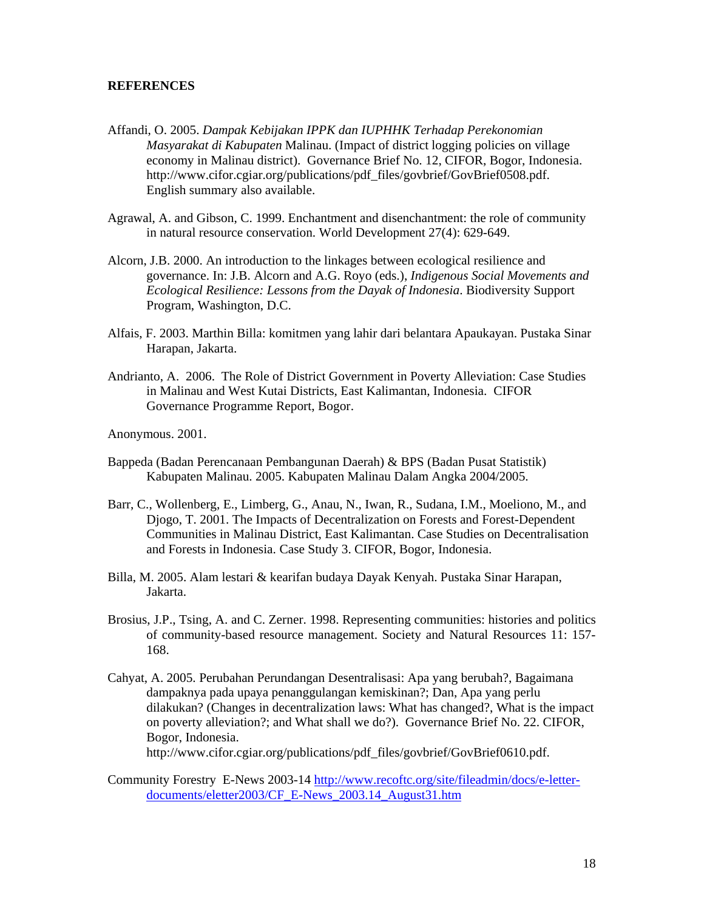#### **REFERENCES**

- Affandi, O. 2005. *Dampak Kebijakan IPPK dan IUPHHK Terhadap Perekonomian Masyarakat di Kabupaten* Malinau. (Impact of district logging policies on village economy in Malinau district). Governance Brief No. 12, CIFOR, Bogor, Indonesia. http://www.cifor.cgiar.org/publications/pdf\_files/govbrief/GovBrief0508.pdf. English summary also available.
- Agrawal, A. and Gibson, C. 1999. Enchantment and disenchantment: the role of community in natural resource conservation. World Development 27(4): 629-649.
- Alcorn, J.B. 2000. An introduction to the linkages between ecological resilience and governance. In: J.B. Alcorn and A.G. Royo (eds.), *Indigenous Social Movements and Ecological Resilience: Lessons from the Dayak of Indonesia*. Biodiversity Support Program, Washington, D.C.
- Alfais, F. 2003. Marthin Billa: komitmen yang lahir dari belantara Apaukayan. Pustaka Sinar Harapan, Jakarta.
- Andrianto, A. 2006. The Role of District Government in Poverty Alleviation: Case Studies in Malinau and West Kutai Districts, East Kalimantan, Indonesia. CIFOR Governance Programme Report, Bogor.

Anonymous. 2001.

- Bappeda (Badan Perencanaan Pembangunan Daerah) & BPS (Badan Pusat Statistik) Kabupaten Malinau. 2005. Kabupaten Malinau Dalam Angka 2004/2005.
- Barr, C., Wollenberg, E., Limberg, G., Anau, N., Iwan, R., Sudana, I.M., Moeliono, M., and Djogo, T. 2001. The Impacts of Decentralization on Forests and Forest-Dependent Communities in Malinau District, East Kalimantan. Case Studies on Decentralisation and Forests in Indonesia. Case Study 3. CIFOR, Bogor, Indonesia.
- Billa, M. 2005. Alam lestari & kearifan budaya Dayak Kenyah. Pustaka Sinar Harapan, Jakarta.
- Brosius, J.P., Tsing, A. and C. Zerner. 1998. Representing communities: histories and politics of community-based resource management. Society and Natural Resources 11: 157- 168.
- Cahyat, A. 2005. Perubahan Perundangan Desentralisasi: Apa yang berubah?, Bagaimana dampaknya pada upaya penanggulangan kemiskinan?; Dan, Apa yang perlu dilakukan? (Changes in decentralization laws: What has changed?, What is the impact on poverty alleviation?; and What shall we do?). Governance Brief No. 22. CIFOR, Bogor, Indonesia. http://www.cifor.cgiar.org/publications/pdf\_files/govbrief/GovBrief0610.pdf.
- Community Forestry E-News 2003-14 http://www.recoftc.org/site/fileadmin/docs/e-letterdocuments/eletter2003/CF\_E-News\_2003.14\_August31.htm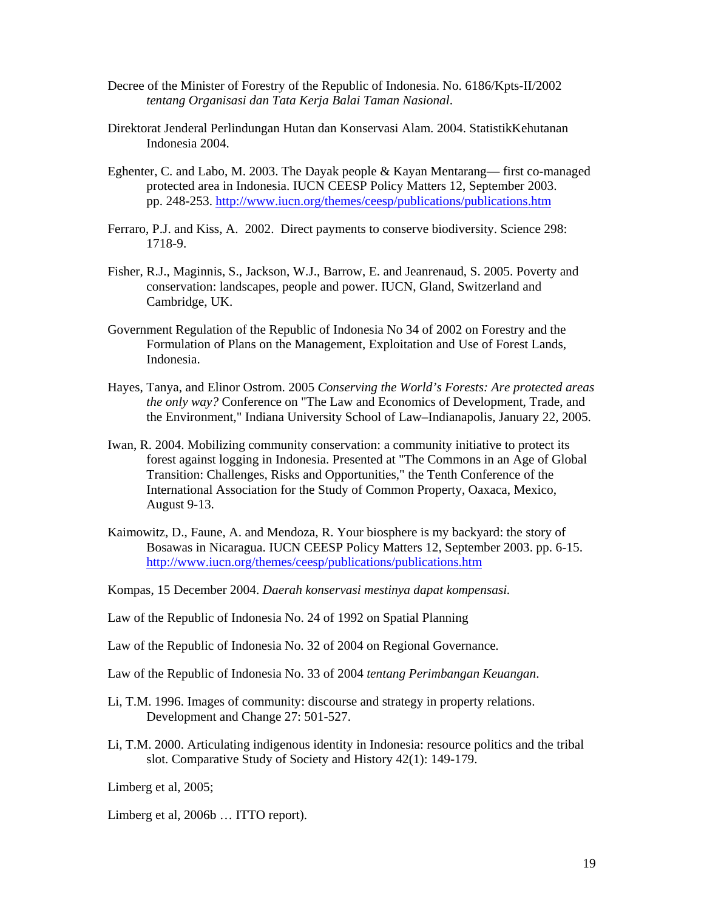- Decree of the Minister of Forestry of the Republic of Indonesia. No. 6186/Kpts-II/2002 *tentang Organisasi dan Tata Kerja Balai Taman Nasional*.
- Direktorat Jenderal Perlindungan Hutan dan Konservasi Alam. 2004. StatistikKehutanan Indonesia 2004.
- Eghenter, C. and Labo, M. 2003. The Dayak people & Kayan Mentarang— first co-managed protected area in Indonesia. IUCN CEESP Policy Matters 12, September 2003. pp. 248-253. http://www.iucn.org/themes/ceesp/publications/publications.htm
- Ferraro, P.J. and Kiss, A. 2002. Direct payments to conserve biodiversity. Science 298: 1718-9.
- Fisher, R.J., Maginnis, S., Jackson, W.J., Barrow, E. and Jeanrenaud, S. 2005. Poverty and conservation: landscapes, people and power. IUCN, Gland, Switzerland and Cambridge, UK.
- Government Regulation of the Republic of Indonesia No 34 of 2002 on Forestry and the Formulation of Plans on the Management, Exploitation and Use of Forest Lands, Indonesia.
- Hayes, Tanya, and Elinor Ostrom. 2005 *Conserving the World's Forests: Are protected areas the only way?* Conference on "The Law and Economics of Development, Trade, and the Environment," Indiana University School of Law–Indianapolis, January 22, 2005.
- Iwan, R. 2004. Mobilizing community conservation: a community initiative to protect its forest against logging in Indonesia. Presented at "The Commons in an Age of Global Transition: Challenges, Risks and Opportunities," the Tenth Conference of the International Association for the Study of Common Property, Oaxaca, Mexico, August 9-13.
- Kaimowitz, D., Faune, A. and Mendoza, R. Your biosphere is my backyard: the story of Bosawas in Nicaragua. IUCN CEESP Policy Matters 12, September 2003. pp. 6-15. http://www.iucn.org/themes/ceesp/publications/publications.htm
- Kompas, 15 December 2004. *Daerah konservasi mestinya dapat kompensasi.*
- Law of the Republic of Indonesia No. 24 of 1992 on Spatial Planning
- Law of the Republic of Indonesia No. 32 of 2004 on Regional Governance*.*
- Law of the Republic of Indonesia No. 33 of 2004 *tentang Perimbangan Keuangan*.
- Li, T.M. 1996. Images of community: discourse and strategy in property relations. Development and Change 27: 501-527.
- Li, T.M. 2000. Articulating indigenous identity in Indonesia: resource politics and the tribal slot. Comparative Study of Society and History 42(1): 149-179.

Limberg et al, 2005;

Limberg et al, 2006b ... ITTO report).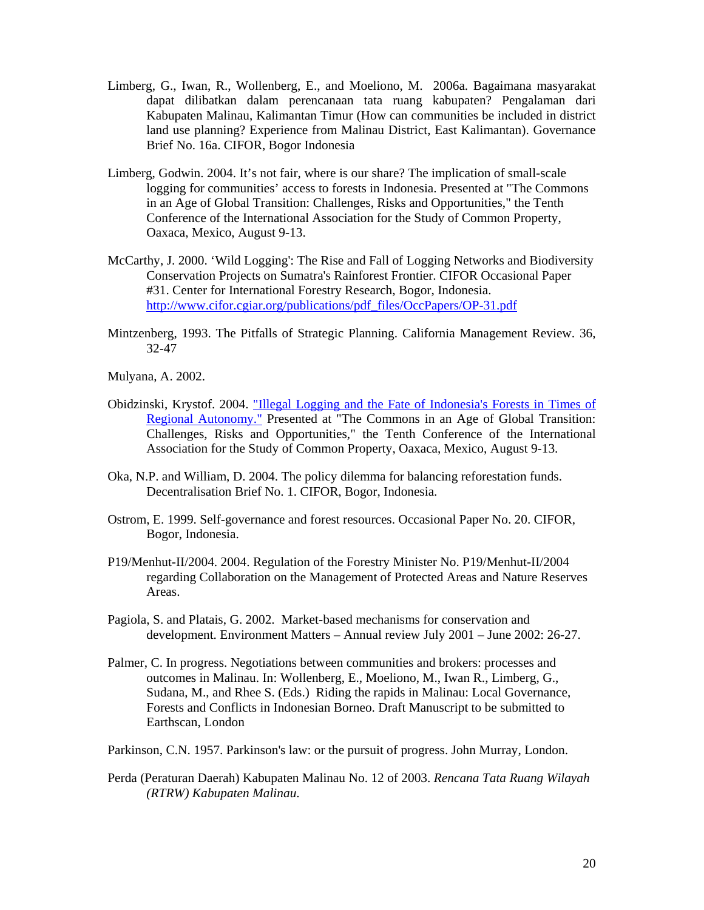- Limberg, G., Iwan, R., Wollenberg, E., and Moeliono, M. 2006a. Bagaimana masyarakat dapat dilibatkan dalam perencanaan tata ruang kabupaten? Pengalaman dari Kabupaten Malinau, Kalimantan Timur (How can communities be included in district land use planning? Experience from Malinau District, East Kalimantan). Governance Brief No. 16a. CIFOR, Bogor Indonesia
- Limberg, Godwin. 2004. It's not fair, where is our share? The implication of small-scale logging for communities' access to forests in Indonesia. Presented at "The Commons in an Age of Global Transition: Challenges, Risks and Opportunities," the Tenth Conference of the International Association for the Study of Common Property, Oaxaca, Mexico, August 9-13.
- McCarthy, J. 2000. 'Wild Logging': The Rise and Fall of Logging Networks and Biodiversity Conservation Projects on Sumatra's Rainforest Frontier. CIFOR Occasional Paper #31. Center for International Forestry Research, Bogor, Indonesia. http://www.cifor.cgiar.org/publications/pdf\_files/OccPapers/OP-31.pdf
- Mintzenberg, 1993. The Pitfalls of Strategic Planning. California Management Review. 36, 32-47

Mulyana, A. 2002.

- Obidzinski, Krystof. 2004. "Illegal Logging and the Fate of Indonesia's Forests in Times of Regional Autonomy." Presented at "The Commons in an Age of Global Transition: Challenges, Risks and Opportunities," the Tenth Conference of the International Association for the Study of Common Property, Oaxaca, Mexico, August 9-13.
- Oka, N.P. and William, D. 2004. The policy dilemma for balancing reforestation funds. Decentralisation Brief No. 1. CIFOR, Bogor, Indonesia.
- Ostrom, E. 1999. Self-governance and forest resources. Occasional Paper No. 20. CIFOR, Bogor, Indonesia.
- P19/Menhut-II/2004. 2004. Regulation of the Forestry Minister No. P19/Menhut-II/2004 regarding Collaboration on the Management of Protected Areas and Nature Reserves Areas.
- Pagiola, S. and Platais, G. 2002. Market-based mechanisms for conservation and development. Environment Matters – Annual review July 2001 – June 2002: 26-27.
- Palmer, C. In progress. Negotiations between communities and brokers: processes and outcomes in Malinau. In: Wollenberg, E., Moeliono, M., Iwan R., Limberg, G., Sudana, M., and Rhee S. (Eds.) Riding the rapids in Malinau: Local Governance, Forests and Conflicts in Indonesian Borneo. Draft Manuscript to be submitted to Earthscan, London
- Parkinson, C.N. 1957. Parkinson's law: or the pursuit of progress. John Murray, London.
- Perda (Peraturan Daerah) Kabupaten Malinau No. 12 of 2003. *Rencana Tata Ruang Wilayah (RTRW) Kabupaten Malinau*.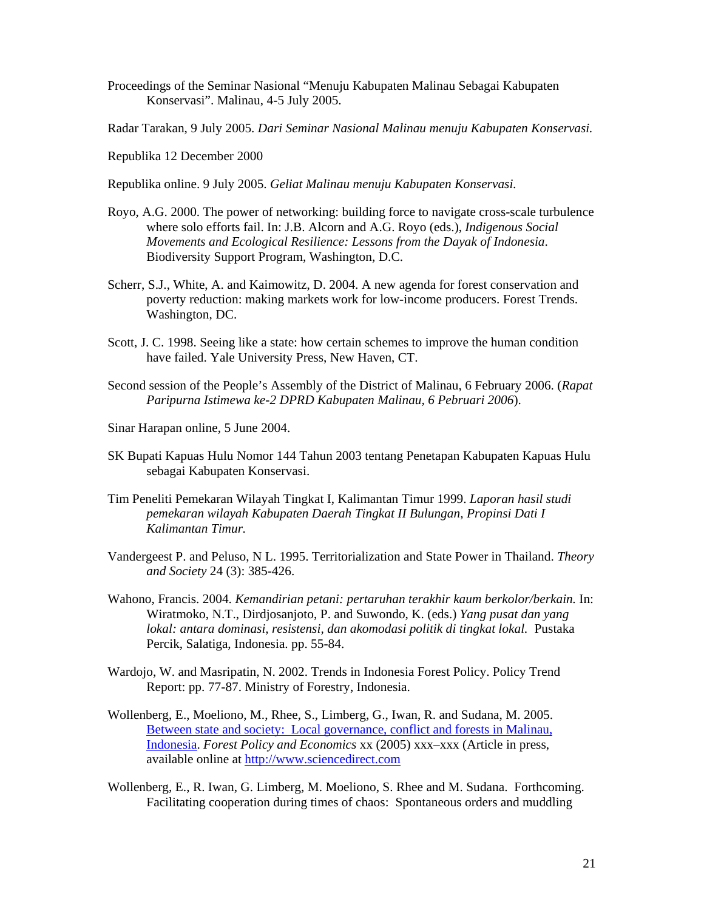- Proceedings of the Seminar Nasional "Menuju Kabupaten Malinau Sebagai Kabupaten Konservasi". Malinau, 4-5 July 2005.
- Radar Tarakan, 9 July 2005. *Dari Seminar Nasional Malinau menuju Kabupaten Konservasi.*
- Republika 12 December 2000
- Republika online. 9 July 2005. *Geliat Malinau menuju Kabupaten Konservasi*.
- Royo, A.G. 2000. The power of networking: building force to navigate cross-scale turbulence where solo efforts fail. In: J.B. Alcorn and A.G. Royo (eds.), *Indigenous Social Movements and Ecological Resilience: Lessons from the Dayak of Indonesia*. Biodiversity Support Program, Washington, D.C.
- Scherr, S.J., White, A. and Kaimowitz, D. 2004. A new agenda for forest conservation and poverty reduction: making markets work for low-income producers. Forest Trends. Washington, DC.
- Scott, J. C. 1998. Seeing like a state: how certain schemes to improve the human condition have failed. Yale University Press, New Haven, CT.
- Second session of the People's Assembly of the District of Malinau, 6 February 2006. (*Rapat Paripurna Istimewa ke-2 DPRD Kabupaten Malinau, 6 Pebruari 2006*).
- Sinar Harapan online, 5 June 2004.
- SK Bupati Kapuas Hulu Nomor 144 Tahun 2003 tentang Penetapan Kabupaten Kapuas Hulu sebagai Kabupaten Konservasi.
- Tim Peneliti Pemekaran Wilayah Tingkat I, Kalimantan Timur 1999. *Laporan hasil studi pemekaran wilayah Kabupaten Daerah Tingkat II Bulungan, Propinsi Dati I Kalimantan Timur.*
- Vandergeest P. and Peluso, N L. 1995. Territorialization and State Power in Thailand. *Theory and Society* 24 (3): 385-426.
- Wahono, Francis. 2004. *Kemandirian petani: pertaruhan terakhir kaum berkolor/berkain.* In: Wiratmoko, N.T., Dirdjosanjoto, P. and Suwondo, K. (eds.) *Yang pusat dan yang lokal: antara dominasi, resistensi, dan akomodasi politik di tingkat lokal.* Pustaka Percik, Salatiga, Indonesia. pp. 55-84.
- Wardojo, W. and Masripatin, N. 2002. Trends in Indonesia Forest Policy. Policy Trend Report: pp. 77-87. Ministry of Forestry, Indonesia.
- Wollenberg, E., Moeliono, M., Rhee, S., Limberg, G., Iwan, R. and Sudana, M. 2005. Between state and society: Local governance, conflict and forests in Malinau, Indonesia. *Forest Policy and Economics* xx (2005) xxx–xxx (Article in press, available online at http://www.sciencedirect.com
- Wollenberg, E., R. Iwan, G. Limberg, M. Moeliono, S. Rhee and M. Sudana. Forthcoming. Facilitating cooperation during times of chaos: Spontaneous orders and muddling